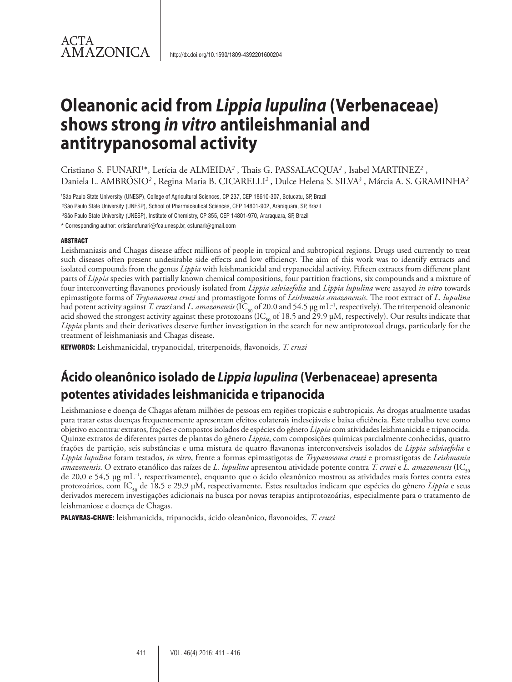## ACTA **AMAZONICA**

# **Oleanonic acid from** *Lippia lupulina* **(Verbenaceae) shows strong** *in vitro* **antileishmanial and antitrypanosomal activity**

Cristiano S. FUNARI<sup>1\*</sup>, Letícia de ALMEIDA<sup>2</sup>, Thais G. PASSALACQUA<sup>2</sup>, Isabel MARTINEZ<sup>2</sup>, Daniela L. AMBRÓSIO<sup>2</sup> , Regina Maria B. CICARELLI<sup>2</sup> , Dulce Helena S. SILVA<sup>3</sup> , Márcia A. S. GRAMINHA<sup>2</sup>

1 São Paulo State University (UNESP), College of Agricultural Sciences, CP 237, CEP 18610-307, Botucatu, SP, Brazil

2 São Paulo State University (UNESP), School of Pharmaceutical Sciences, CEP 14801-902, Araraquara, SP, Brazil

3 São Paulo State University (UNESP), Institute of Chemistry, CP 355, CEP 14801-970, Araraquara, SP, Brazil

\* Corresponding author: cristianofunari@fca.unesp.br, csfunari@gmail.com

## ABSTRACT

Leishmaniasis and Chagas disease affect millions of people in tropical and subtropical regions. Drugs used currently to treat such diseases often present undesirable side effects and low efficiency. The aim of this work was to identify extracts and isolated compounds from the genus *Lippia* with leishmanicidal and trypanocidal activity. Fifteen extracts from different plant parts of *Lippia* species with partially known chemical compositions, four partition fractions, six compounds and a mixture of four interconverting flavanones previously isolated from *Lippia salviaefolia* and *Lippia lupulina* were assayed *in vitro* towards epimastigote forms of *Trypanosoma cruzi* and promastigote forms of *Leishmania amazonensis*. The root extract of *L. lupulina* had potent activity against *T. cruzi* and *L. amazonensis* (IC<sub>50</sub> of 20.0 and 54.5 µg mL<sup>-1</sup>, respectively). The triterpenoid oleanonic acid showed the strongest activity against these protozoans (IC<sub>50</sub> of 18.5 and 29.9 µM, respectively). Our results indicate that *Lippia* plants and their derivatives deserve further investigation in the search for new antiprotozoal drugs, particularly for the treatment of leishmaniasis and Chagas disease.

KEYWORDS: Leishmanicidal, trypanocidal, triterpenoids, flavonoids, *T. cruzi*

## **Ácido oleanônico isolado de** *Lippia lupulina* **(Verbenaceae) apresenta potentes atividades leishmanicida e tripanocida**

Leishmaniose e doença de Chagas afetam milhões de pessoas em regiões tropicais e subtropicais. As drogas atualmente usadas para tratar estas doenças frequentemente apresentam efeitos colaterais indesejáveis e baixa eficiência. Este trabalho teve como objetivo encontrar extratos, frações e compostos isolados de espécies do gênero *Lippia* com atividades leishmanicida e tripanocida. Quinze extratos de diferentes partes de plantas do gênero *Lippia*, com composições químicas parcialmente conhecidas, quatro frações de partição, seis substâncias e uma mistura de quatro flavanonas interconversíveis isolados de *Lippia salviaefolia* e *Lippia lupulina* foram testados, *in vitro*, frente a formas epimastigotas de *Trypanosoma cruzi* e promastigotas de *Leishmania amazonensis*. O extrato etanólico das raízes de *L. lupulina* apresentou atividade potente contra *T. cruzi* e *L. amazonensis* (IC<sub>50</sub> de 20,0 e 54,5 µg mL–1, respectivamente), enquanto que o ácido oleanônico mostrou as atividades mais fortes contra estes protozoários, com IC<sub>50</sub> de 18,5 e 29,9 µM, respectivamente. Estes resultados indicam que espécies do gênero Lippia e seus derivados merecem investigações adicionais na busca por novas terapias antiprotozoárias, especialmente para o tratamento de leishmaniose e doença de Chagas.

PALAVRAS-CHAVE: leishmanicida, tripanocida, ácido oleanônico, flavonoides, *T. cruzi*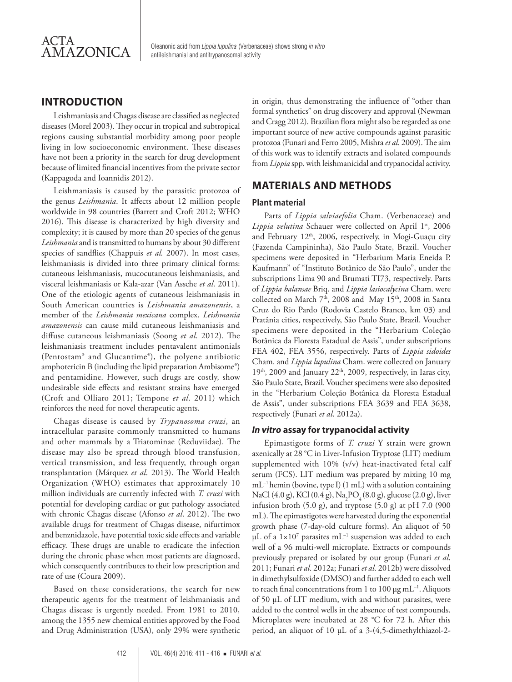

Oleanonic acid from *Lippia lupulina* (Verbenaceae) shows strong *in vitro*  antileishmanial and antitrypanosomal activity

## **INTRODUCTION**

Leishmaniasis and Chagas disease are classified as neglected diseases (Morel 2003). They occur in tropical and subtropical regions causing substantial morbidity among poor people living in low socioeconomic environment. These diseases have not been a priority in the search for drug development because of limited financial incentives from the private sector (Kappagoda and Ioannidis 2012).

Leishmaniasis is caused by the parasitic protozoa of the genus *Leishmania*. It affects about 12 million people worldwide in 98 countries (Barrett and Croft 2012; WHO 2016). This disease is characterized by high diversity and complexity; it is caused by more than 20 species of the genus *Leishmania* and is transmitted to humans by about 30 different species of sandflies (Chappuis *et al.* 2007). In most cases, leishmaniasis is divided into three primary clinical forms: cutaneous leishmaniasis, mucocutaneous leishmaniasis, and visceral leishmaniasis or Kala-azar (Van Assche *et al*. 2011). One of the etiologic agents of cutaneous leishmaniasis in South American countries is *Leishmania amazonensis*, a member of the *Leishmania mexicana* complex. *Leishmania amazonensis* can cause mild cutaneous leishmaniasis and diffuse cutaneous leishmaniasis (Soong *et al*. 2012). The leishmaniasis treatment includes pentavalent antimonials (Pentostam® and Glucantime®), the polyene antibiotic amphotericin B (including the lipid preparation Ambisome®) and pentamidine. However, such drugs are costly, show undesirable side effects and resistant strains have emerged (Croft and Olliaro 2011; Tempone *et al*. 2011) which reinforces the need for novel therapeutic agents.

Chagas disease is caused by *Trypanosoma cruzi*, an intracellular parasite commonly transmitted to humans and other mammals by a Triatominae (Reduviidae). The disease may also be spread through blood transfusion, vertical transmission, and less frequently, through organ transplantation (Márquez *et al*. 2013). The World Health Organization (WHO) estimates that approximately 10 million individuals are currently infected with *T. cruzi* with potential for developing cardiac or gut pathology associated with chronic Chagas disease (Afonso *et al*. 2012). The two available drugs for treatment of Chagas disease, nifurtimox and benznidazole, have potential toxic side effects and variable efficacy. These drugs are unable to eradicate the infection during the chronic phase when most patients are diagnosed, which consequently contributes to their low prescription and rate of use (Coura 2009).

Based on these considerations, the search for new therapeutic agents for the treatment of leishmaniasis and Chagas disease is urgently needed. From 1981 to 2010, among the 1355 new chemical entities approved by the Food and Drug Administration (USA), only 29% were synthetic

in origin, thus demonstrating the influence of "other than formal synthetics" on drug discovery and approval (Newman and Cragg 2012). Brazilian flora might also be regarded as one important source of new active compounds against parasitic protozoa (Funari and Ferro 2005, Mishra *et al*. 2009). The aim of this work was to identify extracts and isolated compounds from *Lippia* spp. with leishmanicidal and trypanocidal activity.

## **MATERIALS AND METHODS**

#### **Plant material**

Parts of *Lippia salviaefolia* Cham. (Verbenaceae) and Lippia velutina Schauer were collected on April 1st, 2006 and February 12<sup>th</sup>, 2006, respectively, in Mogi-Guaçu city (Fazenda Campininha), São Paulo State, Brazil. Voucher specimens were deposited in "Herbarium Maria Eneida P. Kaufmann" of "Instituto Botânico de São Paulo", under the subscriptions Lima 90 and Brumati TI73, respectively. Parts of *Lippia balansae* Briq. and *Lippia lasiocalycina* Cham. were collected on March 7<sup>th</sup>, 2008 and May 15<sup>th</sup>, 2008 in Santa Cruz do Rio Pardo (Rodovia Castelo Branco, km 03) and Pratânia cities, respectively, São Paulo State, Brazil. Voucher specimens were deposited in the "Herbarium Coleção Botânica da Floresta Estadual de Assis", under subscriptions FEA 402, FEA 3556, respectively. Parts of *Lippia sidoides*  Cham. and *Lippia lupulina* Cham. were collected on January  $19<sup>th</sup>$ , 2009 and January 22<sup>th</sup>, 2009, respectively, in Iaras city, São Paulo State, Brazil. Voucher specimens were also deposited in the "Herbarium Coleção Botânica da Floresta Estadual de Assis", under subscriptions FEA 3639 and FEA 3638, respectively (Funari *et al*. 2012a).

#### *In vitro* **assay for trypanocidal activity**

Epimastigote forms of *T. cruzi* Y strain were grown axenically at 28 °C in Liver-Infusion Tryptose (LIT) medium supplemented with 10% (v/v) heat-inactivated fetal calf serum (FCS). LIT medium was prepared by mixing 10 mg mL–1 hemin (bovine, type I) (1 mL) with a solution containing NaCl (4.0 g), KCl (0.4 g), Na<sub>2</sub>PO<sub>4</sub> (8.0 g), glucose (2.0 g), liver infusion broth  $(5.0 \text{ g})$ , and tryptose  $(5.0 \text{ g})$  at pH  $7.0 \text{ (900)}$ mL). The epimastigotes were harvested during the exponential growth phase (7-day-old culture forms). An aliquot of 50  $\mu$ L of a  $1\times10^7$  parasites mL<sup>-1</sup> suspension was added to each well of a 96 multi-well microplate. Extracts or compounds previously prepared or isolated by our group (Funari *et al*. 2011; Funari *et al*. 2012a; Funari *et al*. 2012b) were dissolved in dimethylsulfoxide (DMSO) and further added to each well to reach final concentrations from 1 to 100  $\mu$ g mL<sup>-1</sup>. Aliquots of 50 µL of LIT medium, with and without parasites, were added to the control wells in the absence of test compounds. Microplates were incubated at 28 °C for 72 h. After this period, an aliquot of 10 µL of a 3-(4,5-dimethylthiazol-2-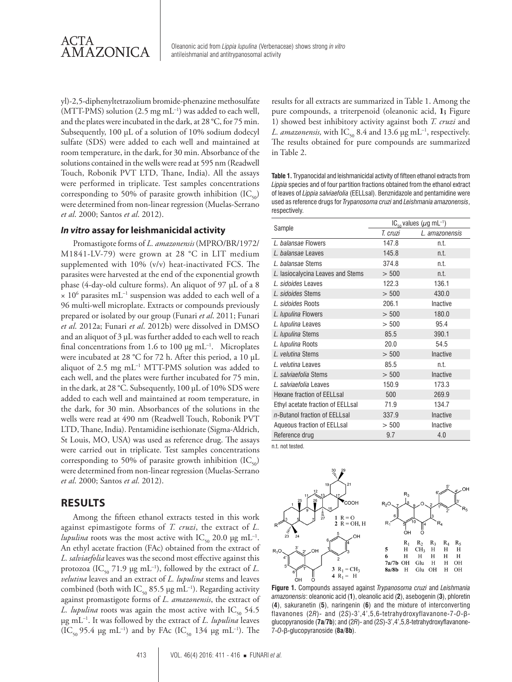

AMAZONICA Oleanonic acid from *Lippia lupulina* (Verbenaceae) shows strong *in vitro*  antileishmanial and antitrypanosomal activity

yl)-2,5-diphenyltetrazolium bromide-phenazine methosulfate (MTT-PMS) solution  $(2.5 \text{ mg} \text{ mL}^{-1})$  was added to each well, and the plates were incubated in the dark, at 28 °C, for 75 min. Subsequently, 100 µL of a solution of 10% sodium dodecyl sulfate (SDS) were added to each well and maintained at room temperature, in the dark, for 30 min. Absorbance of the solutions contained in the wells were read at 595 nm (Readwell Touch, Robonik PVT LTD, Thane, India). All the assays were performed in triplicate. Test samples concentrations corresponding to 50% of parasite growth inhibition  $(IC_{50})$ were determined from non-linear regression (Muelas-Serrano *et al*. 2000; Santos *et al*. 2012).

#### *In vitro* **assay for leishmanicidal activity**

Promastigote forms of *L. amazonensis* (MPRO/BR/1972/ M1841-LV-79) were grown at 28 °C in LIT medium supplemented with 10% (v/v) heat-inactivated FCS. The parasites were harvested at the end of the exponential growth phase (4-day-old culture forms). An aliquot of 97 µL of a 8  $\times$  10<sup>6</sup> parasites mL<sup>-1</sup> suspension was added to each well of a 96 multi-well microplate. Extracts or compounds previously prepared or isolated by our group (Funari *et al*. 2011; Funari *et al*. 2012a; Funari *et al*. 2012b) were dissolved in DMSO and an aliquot of 3 µL was further added to each well to reach final concentrations from 1.6 to 100  $\mu$ g mL<sup>-1</sup>. Microplates were incubated at 28 °C for 72 h. After this period, a 10 µL aliquot of 2.5 mg mL–1 MTT-PMS solution was added to each well, and the plates were further incubated for 75 min, in the dark, at 28 °C. Subsequently, 100 µL of 10% SDS were added to each well and maintained at room temperature, in the dark, for 30 min. Absorbances of the solutions in the wells were read at 490 nm (Readwell Touch, Robonik PVT LTD, Thane, India). Pentamidine isethionate (Sigma-Aldrich, St Louis, MO, USA) was used as reference drug. The assays were carried out in triplicate. Test samples concentrations corresponding to 50% of parasite growth inhibition  $(IC_{50})$ were determined from non-linear regression (Muelas-Serrano *et al*. 2000; Santos *et al*. 2012).

## **RESULTS**

Among the fifteen ethanol extracts tested in this work against epimastigote forms of *T. cruzi*, the extract of *L. lupulina* roots was the most active with  $IC_{50}$  20.0 µg mL<sup>-1</sup>. An ethyl acetate fraction (FAc) obtained from the extract of *L. salviaefolia* leaves was the second most effective against this protozoa (IC<sub>50</sub> 71.9 µg mL<sup>-1</sup>), followed by the extract of *L*. *velutina* leaves and an extract of *L. lupulina* stems and leaves combined (both with IC<sub>50</sub> 85.5 µg mL<sup>-1</sup>). Regarding activity against promastigote forms of *L. amazonensis*, the extract of *L. lupulina* roots was again the most active with  $IC_{50}$  54.5 µg mL–1. It was followed by the extract of *L. lupulina* leaves  $(IC_{50} 95.4 \text{ µg m}L^{-1})$  and by FAc  $(IC_{50} 134 \text{ µg m}L^{-1})$ . The

results for all extracts are summarized in Table 1. Among the pure compounds, a triterpenoid (oleanonic acid, **1;** Figure 1) showed best inhibitory activity against both *T. cruzi* and *L. amazonensis,* with  $IC_{50}$  8.4 and 13.6 µg mL<sup>-1</sup>, respectively. The results obtained for pure compounds are summarized in Table 2.

**Table 1.** Trypanocidal and leishmanicidal activity of fifteen ethanol extracts from *Lippia* species and of four partition fractions obtained from the ethanol extract of leaves of *Lippia salviaefolia* (EELLsal). Benznidazole and pentamidine were used as reference drugs for *Trypanosoma cruzi* and *Leishmania amazonensis*, respectively.

|                                   | $IC_{50}$ values ( $\mu$ g mL <sup>-1</sup> ) |                |  |  |
|-----------------------------------|-----------------------------------------------|----------------|--|--|
| Sample                            | T. cruzi                                      | L. amazonensis |  |  |
| <i>L</i> balansae Flowers         | 147.8                                         | n.t.           |  |  |
| L. balansae Leaves                | 145.8                                         | n.t.           |  |  |
| L. balansae Stems                 | 374.8                                         | n.t.           |  |  |
| L. lasiocalycina Leaves and Stems | > 500                                         | n.t.           |  |  |
| / sidoides Leaves                 | 122.3                                         | 136.1          |  |  |
| L. sidoides Stems                 | > 500                                         | 430.0          |  |  |
| L. sidoides Roots                 | 206.1                                         | Inactive       |  |  |
| L. lupulina Flowers               | > 500                                         | 180.0          |  |  |
| L. lupulina Leaves                | > 500                                         | 95.4           |  |  |
| L. lupulina Stems                 | 85.5                                          | 390.1          |  |  |
| L. lupulina Roots                 | 20.0                                          | 54.5           |  |  |
| L. velutina Stems                 | > 500                                         | Inactive       |  |  |
| L. velutina Leaves                | 85.5                                          | n.t.           |  |  |
| L. salviaefolia Stems             | > 500                                         | Inactive       |  |  |
| L. salviaefolia Leaves            | 150.9                                         | 173.3          |  |  |
| Hexane fraction of EELLsal        | 500                                           | 269.9          |  |  |
| Ethyl acetate fraction of EELLsal | 71.9                                          | 134.7          |  |  |
| n-Butanol fraction of EELLsal     | 337.9                                         | Inactive       |  |  |
| Aqueous fraction of EELLsal       | > 500                                         | Inactive       |  |  |
| Reference drug                    | 9.7                                           | 4.0            |  |  |

n.t. not tested.



**Figure 1.** Compounds assayed against *Trypanosoma cruzi* and *Leishmania amazonensis*: oleanonic acid (**1**), oleanolic acid (**2**), asebogenin (**3**), phloretin (**4**), sakuranetin (**5**), naringenin (**6**) and the mixture of interconverting flavanones (2*R*)- and (2*S*)-3',4',5,6-tetrahydroxyflavanone-7-*O*-βglucopyranoside (**7a**/**7b**); and (2*R*)- and (2*S*)-3',4',5,8-tetrahydroxyflavanone-7-*O*-β-glucopyranoside (**8a**/**8b**).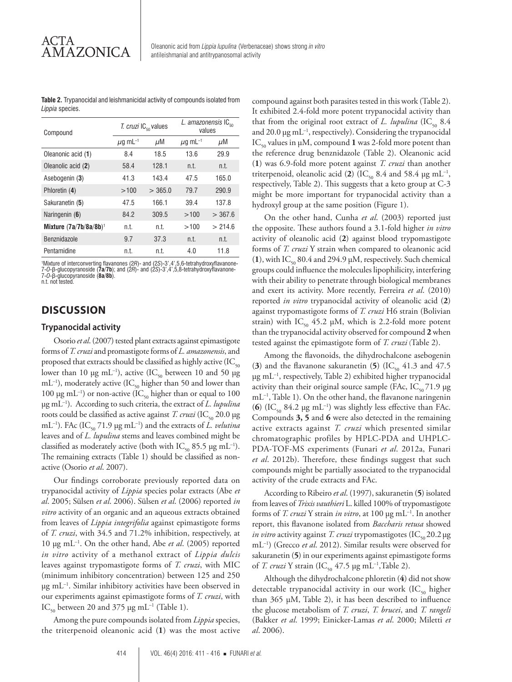**Table 2.** Trypanocidal and leishmanicidal activity of compounds isolated from *Lippia* species.

| Compound                  | T. cruzi IC <sub><sub>50</sub> values</sub> |         | L. amazonensis $IC_{\epsilon_0}$<br>values |         |
|---------------------------|---------------------------------------------|---------|--------------------------------------------|---------|
|                           | $\mu$ g mL <sup>-1</sup>                    | μM      | $\mu$ g mL <sup>-1</sup>                   | μM      |
| Oleanonic acid (1)        | 8.4                                         | 18.5    | 13.6                                       | 29.9    |
| Oleanolic acid (2)        | 58.4                                        | 128.1   | n.t.                                       | n.t.    |
| Asebogenin (3)            | 41.3                                        | 143.4   | 47.5                                       | 165.0   |
| Phloretin (4)             | >100                                        | > 365.0 | 79.7                                       | 290.9   |
| Sakuranetin (5)           | 47.5                                        | 166.1   | 39.4                                       | 137.8   |
| Naringenin (6)            | 84.2                                        | 309.5   | >100                                       | > 367.6 |
| Mixture $(7a/7b/8a/8b)^1$ | n.t.                                        | n.t.    | >100                                       | > 214.6 |
| <b>Benznidazole</b>       | 9.7                                         | 37.3    | n.t.                                       | n.t.    |
| Pentamidine               | n.t.                                        | n.t.    | 4.0                                        | 11.8    |

'Mixture of interconverting flavanones (2R)- and (2S)-3',4',5,6-tetrahydroxyflavanone-<br>7-*O*-ß-glucopyranoside (**7a/7b**); and (2R)- and (2S)-3',4',5,8-tetrahydroxyflavanone-<br>7-*O*-ß-glucopyranoside (**8a/8b**).<br>n.t. not test

## **DISCUSSION**

#### **Trypanocidal activity**

Osorio *et al*. (2007) tested plant extracts against epimastigote forms of *T. cruzi* and promastigote forms of *L. amazonensis*, and proposed that extracts should be classified as highly active  $(IC_{50})$ lower than 10 µg mL<sup>-1</sup>), active (IC<sub>50</sub> between 10 and 50 µg  $mL^{-1}$ ), moderately active (IC<sub>50</sub> higher than 50 and lower than 100 µg mL<sup>-1</sup>) or non-active (IC<sub>50</sub> higher than or equal to 100 µg mL–1). According to such criteria, the extract of *L. lupulina* roots could be classified as active against *T. cruzi* (IC<sub>50</sub> 20.0 µg mL<sup>-1</sup>). FAc (IC<sub>50</sub> 71.9 µg mL<sup>-1</sup>) and the extracts of *L. velutina* leaves and of *L. lupulina* stems and leaves combined might be classified as moderately active (both with  $IC_{50}$  85.5 µg mL<sup>-1</sup>). The remaining extracts (Table 1) should be classified as nonactive (Osorio *et al*. 2007).

Our findings corroborate previously reported data on trypanocidal activity of *Lippia* species polar extracts (Abe *et al*. 2005; Sülsen *et al*. 2006). Sülsen *et al*. (2006) reported *in vitro* activity of an organic and an aqueous extracts obtained from leaves of *Lippia integrifolia* against epimastigote forms of *T. cruzi*, with 34.5 and 71.2% inhibition, respectively, at 10 µg mL–1. On the other hand, Abe *et al*. (2005) reported *in vitro* activity of a methanol extract of *Lippia dulcis* leaves against trypomastigote forms of *T. cruzi*, with MIC (minimum inhibitory concentration) between 125 and 250 µg mL–1. Similar inhibitory activities have been observed in our experiments against epimastigote forms of *T. cruzi*, with IC<sub>50</sub> between 20 and 375 µg mL<sup>-1</sup> (Table 1).

Among the pure compounds isolated from *Lippia* species, the triterpenoid oleanonic acid (**1**) was the most active

compound against both parasites tested in this work (Table 2). It exhibited 2.4-fold more potent trypanocidal activity than that from the original root extract of *L. lupulina* (IC<sub>50</sub> 8.4) and 20.0  $\mu$ g mL<sup>-1</sup>, respectively). Considering the trypanocidal  $IC_{50}$  values in  $\mu$ M, compound 1 was 2-fold more potent than the reference drug benznidazole (Table 2). Oleanonic acid (**1**) was 6.9-fold more potent against *T. cruzi* than another triterpenoid, oleanolic acid (2) (IC<sub>50</sub> 8.4 and 58.4 µg mL<sup>-1</sup>, respectively, Table 2). This suggests that a keto group at C-3 might be more important for trypanocidal activity than a hydroxyl group at the same position (Figure 1).

On the other hand, Cunha *et al*. (2003) reported just the opposite. These authors found a 3.1-fold higher *in vitro* activity of oleanolic acid (**2**) against blood trypomastigote forms of *T. cruzi* Y strain when compared to oleanonic acid (1), with IC<sub>50</sub> 80.4 and 294.9  $\mu$ M, respectively. Such chemical groups could influence the molecules lipophilicity, interfering with their ability to penetrate through biological membranes and exert its activity. More recently, Ferreira *et al*. (2010) reported *in vitro* trypanocidal activity of oleanolic acid (**2**) against trypomastigote forms of *T. cruzi* H6 strain (Bolivian strain) with IC<sub>50</sub> 45.2 µM, which is 2.2-fold more potent than the trypanocidal activity observed for compound **2** when tested against the epimastigote form of *T. cruzi* (Table 2).

Among the flavonoids, the dihydrochalcone asebogenin (3) and the flavanone sakuranetin (5)  $(IC_{50} 41.3$  and 47.5 µg mL–1, respectively, Table 2) exhibited higher trypanocidal activity than their original source sample (FAc,  $IC_{50}$  71.9 µg  $mL^{-1}$ , Table 1). On the other hand, the flavanone naringenin (6)  $(IC_{50} 84.2 \mu g \text{ mL}^{-1})$  was slightly less effective than FAc. Compounds **3, 5** and **6** were also detected in the remaining active extracts against *T. cruzi* which presented similar chromatographic profiles by HPLC-PDA and UHPLC-PDA-TOF-MS experiments (Funari *et al*. 2012a, Funari *et al*. 2012b). Therefore, these findings suggest that such compounds might be partially associated to the trypanocidal activity of the crude extracts and FAc.

According to Ribeiro *et al*. (1997), sakuranetin (**5**) isolated from leaves of *Trixis vauthieri* L. killed 100% of trypomastigote forms of *T. cruzi* Y strain *in vitro*, at 100 µg mL–1. In another report, this flavanone isolated from *Baccharis retusa* showed *in vitro* activity against *T. cruzi* trypomastigotes (IC<sub>50</sub> 20.2 µg mL–1) (Grecco *et al*. 2012). Similar results were observed for sakuranetin (**5**) in our experiments against epimastigote forms of *T. cruzi Y* strain (IC<sub>50</sub> 47.5 µg mL<sup>-1</sup>, Table 2).

Although the dihydrochalcone phloretin (**4**) did not show detectable trypanocidal activity in our work  $(IC_{50}$  higher than 365 µM, Table 2), it has been described to influence the glucose metabolism of *T. cruzi*, *T. brucei*, and *T. rangeli* (Bakker *et al*. 1999; Einicker-Lamas *et al*. 2000; Miletti *et al*. 2006).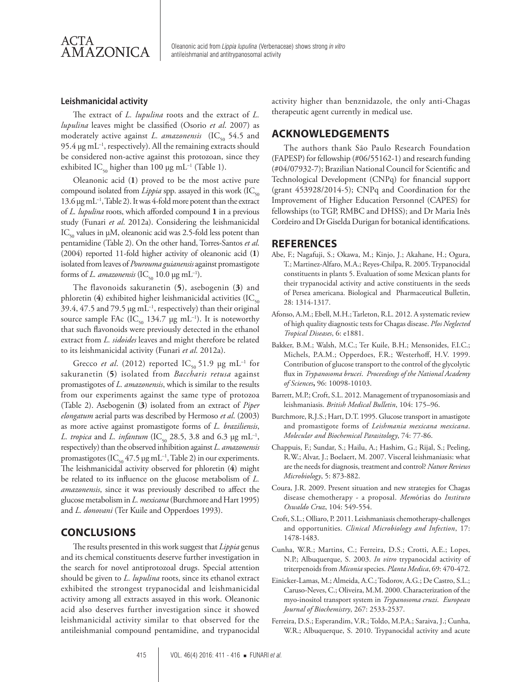

AMAZONICA **Deanonic acid from** *Lippia lupulina* (Verbenaceae) shows strong in vitro **AMAZONICA** antileishmanial and antitrypanosomal activity

#### **Leishmanicidal activity**

The extract of *L. lupulina* roots and the extract of *L. lupulina* leaves might be classified (Osorio *et al*. 2007) as moderately active against *L. amazonensis* (IC<sub>50</sub> 54.5 and 95.4  $\mu$ g mL<sup>-1</sup>, respectively). All the remaining extracts should be considered non-active against this protozoan, since they exhibited IC<sub>50</sub> higher than 100 µg mL<sup>-1</sup> (Table 1).

Oleanonic acid (**1**) proved to be the most active pure compound isolated from *Lippia* spp. assayed in this work (IC<sub>50</sub> 13.6 µg mL–1, Table 2). It was 4-fold more potent than the extract of *L. lupulina* roots, which afforded compound **1** in a previous study (Funari *et al*. 2012a). Considering the leishmanicidal  $IC_{50}$  values in  $\mu$ M, oleanonic acid was 2.5-fold less potent than pentamidine (Table 2). On the other hand, Torres-Santos *et al*. (2004) reported 11-fold higher activity of oleanonic acid (**1**) isolated from leaves of *Pourouma guianensis* against promastigote forms of *L. amazonensis* (IC<sub>50</sub> 10.0 µg mL<sup>-1</sup>).

The flavonoids sakuranetin (**5**), asebogenin (**3**) and phloretin ( $4$ ) exhibited higher leishmanicidal activities (IC<sub>50</sub> 39.4, 47.5 and 79.5 µg mL–1, respectively) than their original source sample FAc (IC<sub>50</sub> 134.7 µg mL<sup>-1</sup>). It is noteworthy that such flavonoids were previously detected in the ethanol extract from *L. sidoides* leaves and might therefore be related to its leishmanicidal activity (Funari *et al*. 2012a).

Grecco *et al.* (2012) reported  $IC_{50}$  51.9 µg mL<sup>-1</sup> for sakuranetin (**5**) isolated from *Baccharis retusa* against promastigotes of *L. amazonensis*, which is similar to the results from our experiments against the same type of protozoa (Table 2). Asebogenin (**3**) isolated from an extract of *Piper elongatum* aerial parts was described by Hermoso *et al*. (2003) as more active against promastigote forms of *L. braziliensis*, *L. tropica* and *L. infantum* (IC<sub>50</sub> 28.5, 3.8 and 6.3 µg mL<sup>-1</sup>, respectively) than the observed inhibition against *L. amazonensis* promastigotes (IC<sub>50</sub> 47.5 µg mL<sup>-1</sup>, Table 2) in our experiments. The leishmanicidal activity observed for phloretin (**4**) might be related to its influence on the glucose metabolism of *L. amazonensis*, since it was previously described to affect the glucose metabolism in *L. mexicana* (Burchmore and Hart 1995) and *L. donovani* (Ter Kuile and Opperdoes 1993).

## **CONCLUSIONS**

The results presented in this work suggest that *Lippia* genus and its chemical constituents deserve further investigation in the search for novel antiprotozoal drugs. Special attention should be given to *L. lupulina* roots, since its ethanol extract exhibited the strongest trypanocidal and leishmanicidal activity among all extracts assayed in this work. Oleanonic acid also deserves further investigation since it showed leishmanicidal activity similar to that observed for the antileishmanial compound pentamidine, and trypanocidal

activity higher than benznidazole, the only anti-Chagas therapeutic agent currently in medical use.

## **ACKNOWLEDGEMENTS**

The authors thank São Paulo Research Foundation (FAPESP) for fellowship (#06/55162-1) and research funding (#04/07932-7); Brazilian National Council for Scientific and Technological Development (CNPq) for financial support (grant 453928/2014-5); CNPq and Coordination for the Improvement of Higher Education Personnel (CAPES) for fellowships (to TGP, RMBC and DHSS); and Dr Maria Inês Cordeiro and Dr Giselda Durigan for botanical identifications.

#### **REFERENCES**

- Abe, F.; Nagafuji, S.; Okawa, M.; Kinjo, J.; Akahane, H.; Ogura, T.; Martinez-Alfaro, M.A.; Reyes-Chilpa, R. 2005. Trypanocidal constituents in plants 5. Evaluation of some Mexican plants for their trypanocidal activity and active constituents in the seeds of Persea americana. Biological and Pharmaceutical Bulletin, 28: 1314-1317.
- Afonso, A.M.; Ebell, M.H.; Tarleton, R.L. 2012. A systematic review of high quality diagnostic tests for Chagas disease. *Plos Neglected Tropical Diseases*, 6: e1881.
- Bakker, B.M.; Walsh, M.C.; Ter Kuile, B.H.; Mensonides, F.I.C.; Michels, P.A.M.; Opperdoes, F.R.; Westerhoff, H.V. 1999. Contribution of glucose transport to the control of the glycolytic flux in *Trypanosoma brucei*. *Proceedings of the National Academy of Sciences***,** 96: 10098-10103.
- Barrett, M.P.; Croft, S.L. 2012. Management of trypanosomiasis and leishmaniasis. *British Medical Bulletin*, 104: 175–96.
- Burchmore, R.J.S.; Hart, D.T. 1995. Glucose transport in amastigote and promastigote forms of *Leishmania mexicana mexicana*. *Molecular and Biochemical Parasitology*, 74: 77-86.
- Chappuis, F.; Sundar, S.; Hailu, A.; Hashim, G.; Rijal, S.; Peeling, R.W.; Alvar, J.; Boelaert, M. 2007. Visceral leishmaniasis: what are the needs for diagnosis, treatment and control? *Nature Reviews Microbiology*, 5: 873-882.
- Coura, J.R. 2009. Present situation and new strategies for Chagas disease chemotherapy - a proposal. *Mem*órias do *Instituto Oswaldo Cruz*, 104: 549-554.
- Croft, S.L.; Olliaro, P. 2011. Leishmaniasis chemotherapy-challenges and opportunities. *Clinical Microbiology and Infection*, 17: 1478-1483.
- Cunha, W.R.; Martins, C.; Ferreira, D.S.; Crotti, A.E.; Lopes, N.P.; Albuquerque, S. 2003. *In vitro* trypanocidal activity of triterpenoids from *Miconia* species. *Planta Medica*, 69: 470-472.
- Einicker-Lamas, M.; Almeida, A.C.; Todorov, A.G.; De Castro, S.L.; Caruso-Neves, C.; Oliveira, M.M. 2000. Characterization of the myo-inositol transport system in *Trypanosoma cruzi*. *European Journal of Biochemistry*, 267: 2533-2537.
- Ferreira, D.S.; Esperandim, V.R.; Toldo, M.P.A.; Saraiva, J.; Cunha, W.R.; Albuquerque, S. 2010. Trypanocidal activity and acute